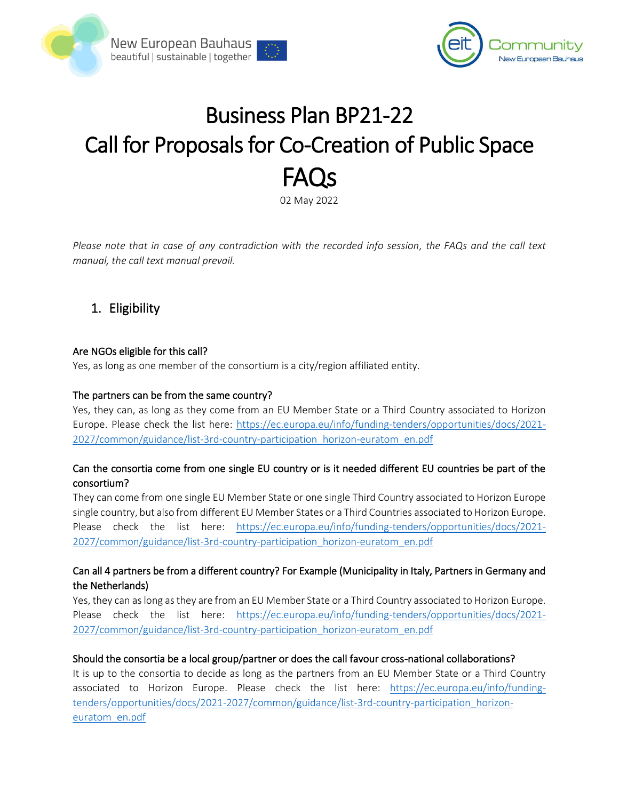



# Business Plan BP21-22 Call for Proposals for Co-Creation of Public Space FAQs

02 May 2022

*Please note that in case of any contradiction with the recorded info session, the FAQs and the call text manual, the call text manual prevail.*

# 1. Eligibility

#### Are NGOs eligible for this call?

Yes, as long as one member of the consortium is a city/region affiliated entity.

#### The partners can be from the same country?

Yes, they can, as long as they come from an EU Member State or a Third Country associated to Horizon Europe. Please check the list here: [https://ec.europa.eu/info/funding-tenders/opportunities/docs/2021-](https://ec.europa.eu/info/funding-tenders/opportunities/docs/2021-2027/common/guidance/list-3rd-country-participation_horizon-euratom_en.pdf) [2027/common/guidance/list-3rd-country-participation\\_horizon-euratom\\_en.pdf](https://ec.europa.eu/info/funding-tenders/opportunities/docs/2021-2027/common/guidance/list-3rd-country-participation_horizon-euratom_en.pdf)

# Can the consortia come from one single EU country or is it needed different EU countries be part of the consortium?

They can come from one single EU Member State or one single Third Country associated to Horizon Europe single country, but also from different EU Member States or a Third Countries associated to Horizon Europe. Please check the list here: [https://ec.europa.eu/info/funding-tenders/opportunities/docs/2021-](https://ec.europa.eu/info/funding-tenders/opportunities/docs/2021-2027/common/guidance/list-3rd-country-participation_horizon-euratom_en.pdf) [2027/common/guidance/list-3rd-country-participation\\_horizon-euratom\\_en.pdf](https://ec.europa.eu/info/funding-tenders/opportunities/docs/2021-2027/common/guidance/list-3rd-country-participation_horizon-euratom_en.pdf)

# Can all 4 partners be from a different country? For Example (Municipality in Italy, Partners in Germany and the Netherlands)

Yes, they can as long as they are from an EU Member State or a Third Country associated to Horizon Europe. Please check the list here: [https://ec.europa.eu/info/funding-tenders/opportunities/docs/2021-](https://ec.europa.eu/info/funding-tenders/opportunities/docs/2021-2027/common/guidance/list-3rd-country-participation_horizon-euratom_en.pdf) [2027/common/guidance/list-3rd-country-participation\\_horizon-euratom\\_en.pdf](https://ec.europa.eu/info/funding-tenders/opportunities/docs/2021-2027/common/guidance/list-3rd-country-participation_horizon-euratom_en.pdf)

#### Should the consortia be a local group/partner or does the call favour cross-national collaborations?

It is up to the consortia to decide as long as the partners from an EU Member State or a Third Country associated to Horizon Europe. Please check the list here: [https://ec.europa.eu/info/funding](https://ec.europa.eu/info/funding-tenders/opportunities/docs/2021-2027/common/guidance/list-3rd-country-participation_horizon-euratom_en.pdf)[tenders/opportunities/docs/2021-2027/common/guidance/list-3rd-country-participation\\_horizon](https://ec.europa.eu/info/funding-tenders/opportunities/docs/2021-2027/common/guidance/list-3rd-country-participation_horizon-euratom_en.pdf)[euratom\\_en.pdf](https://ec.europa.eu/info/funding-tenders/opportunities/docs/2021-2027/common/guidance/list-3rd-country-participation_horizon-euratom_en.pdf)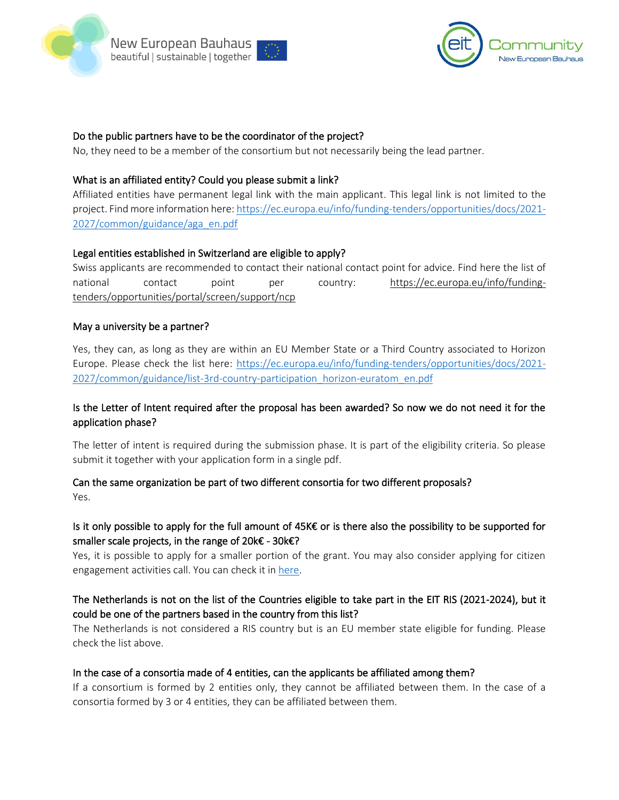



#### Do the public partners have to be the coordinator of the project?

No, they need to be a member of the consortium but not necessarily being the lead partner.

#### What is an affiliated entity? Could you please submit a link?

Affiliated entities have permanent legal link with the main applicant. This legal link is not limited to the project. Find more information here[: https://ec.europa.eu/info/funding-tenders/opportunities/docs/2021-](https://ec.europa.eu/info/funding-tenders/opportunities/docs/2021-2027/common/guidance/aga_en.pdf) [2027/common/guidance/aga\\_en.pdf](https://ec.europa.eu/info/funding-tenders/opportunities/docs/2021-2027/common/guidance/aga_en.pdf)

#### Legal entities established in Switzerland are eligible to apply?

Swiss applicants are recommended to contact their national contact point for advice. Find here the list of national contact point per country: [https://ec.europa.eu/info/funding](https://ec.europa.eu/info/funding-tenders/opportunities/portal/screen/support/ncp)[tenders/opportunities/portal/screen/support/ncp](https://ec.europa.eu/info/funding-tenders/opportunities/portal/screen/support/ncp)

#### May a university be a partner?

Yes, they can, as long as they are within an EU Member State or a Third Country associated to Horizon Europe. Please check the list here: [https://ec.europa.eu/info/funding-tenders/opportunities/docs/2021-](https://ec.europa.eu/info/funding-tenders/opportunities/docs/2021-2027/common/guidance/list-3rd-country-participation_horizon-euratom_en.pdf) [2027/common/guidance/list-3rd-country-participation\\_horizon-euratom\\_en.pdf](https://ec.europa.eu/info/funding-tenders/opportunities/docs/2021-2027/common/guidance/list-3rd-country-participation_horizon-euratom_en.pdf) 

#### Is the Letter of Intent required after the proposal has been awarded? So now we do not need it for the application phase?

The letter of intent is required during the submission phase. It is part of the eligibility criteria. So please submit it together with your application form in a single pdf.

#### Can the same organization be part of two different consortia for two different proposals? Yes.

# Is it only possible to apply for the full amount of 45K€ or is there also the possibility to be supported for smaller scale projects, in the range of 20k€ - 30k€?

Yes, it is possible to apply for a smaller portion of the grant. You may also consider applying for citizen engagement activities call. You can check it i[n here.](https://www.eiturbanmobility.eu/eit-community-new-european-bauhaus-call-for-proposals-for-citizen-engagement-activities/)

# The Netherlands is not on the list of the Countries eligible to take part in the EIT RIS (2021-2024), but it could be one of the partners based in the country from this list?

The Netherlands is not considered a RIS country but is an EU member state eligible for funding. Please check the list above.

#### In the case of a consortia made of 4 entities, can the applicants be affiliated among them?

If a consortium is formed by 2 entities only, they cannot be affiliated between them. In the case of a consortia formed by 3 or 4 entities, they can be affiliated between them.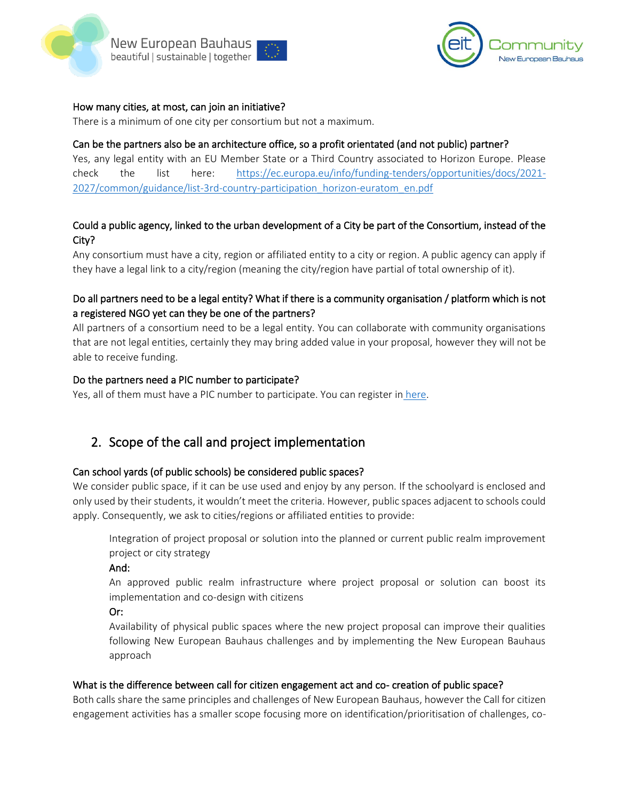



#### How many cities, at most, can join an initiative?

There is a minimum of one city per consortium but not a maximum.

#### Can be the partners also be an architecture office, so a profit orientated (and not public) partner?

Yes, any legal entity with an EU Member State or a Third Country associated to Horizon Europe. Please check the list here: [https://ec.europa.eu/info/funding-tenders/opportunities/docs/2021-](https://ec.europa.eu/info/funding-tenders/opportunities/docs/2021-2027/common/guidance/list-3rd-country-participation_horizon-euratom_en.pdf) [2027/common/guidance/list-3rd-country-participation\\_horizon-euratom\\_en.pdf](https://ec.europa.eu/info/funding-tenders/opportunities/docs/2021-2027/common/guidance/list-3rd-country-participation_horizon-euratom_en.pdf)

# Could a public agency, linked to the urban development of a City be part of the Consortium, instead of the City?

Any consortium must have a city, region or affiliated entity to a city or region. A public agency can apply if they have a legal link to a city/region (meaning the city/region have partial of total ownership of it).

# Do all partners need to be a legal entity? What if there is a community organisation / platform which is not a registered NGO yet can they be one of the partners?

All partners of a consortium need to be a legal entity. You can collaborate with community organisations that are not legal entities, certainly they may bring added value in your proposal, however they will not be able to receive funding.

#### Do the partners need a PIC number to participate?

Yes, all of them must have a PIC number to participate. You can register in [here.](https://ec.europa.eu/info/funding-tenders/opportunities/portal/screen/how-to-participate/participant-register)

# 2. Scope of the call and project implementation

#### Can school yards (of public schools) be considered public spaces?

We consider public space, if it can be use used and enjoy by any person. If the schoolyard is enclosed and only used by their students, it wouldn't meet the criteria. However, public spaces adjacent to schools could apply. Consequently, we ask to cities/regions or affiliated entities to provide:

Integration of project proposal or solution into the planned or current public realm improvement project or city strategy

And:

An approved public realm infrastructure where project proposal or solution can boost its implementation and co-design with citizens

#### Or:

Availability of physical public spaces where the new project proposal can improve their qualities following New European Bauhaus challenges and by implementing the New European Bauhaus approach

#### What is the difference between call for citizen engagement act and co- creation of public space?

Both calls share the same principles and challenges of New European Bauhaus, however the Call for citizen engagement activities has a smaller scope focusing more on identification/prioritisation of challenges, co-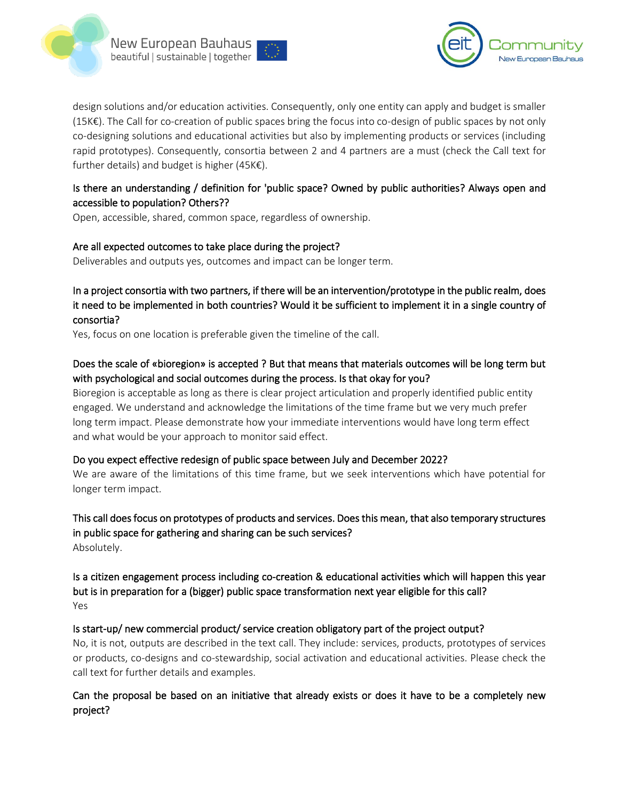



design solutions and/or education activities. Consequently, only one entity can apply and budget is smaller (15K€). The Call for co-creation of public spaces bring the focus into co-design of public spaces by not only co-designing solutions and educational activities but also by implementing products or services (including rapid prototypes). Consequently, consortia between 2 and 4 partners are a must (check the Call text for further details) and budget is higher (45K€).

# Is there an understanding / definition for 'public space? Owned by public authorities? Always open and accessible to population? Others??

Open, accessible, shared, common space, regardless of ownership.

#### Are all expected outcomes to take place during the project?

Deliverables and outputs yes, outcomes and impact can be longer term.

# In a project consortia with two partners, if there will be an intervention/prototype in the public realm, does it need to be implemented in both countries? Would it be sufficient to implement it in a single country of consortia?

Yes, focus on one location is preferable given the timeline of the call.

# Does the scale of «bioregion» is accepted ? But that means that materials outcomes will be long term but with psychological and social outcomes during the process. Is that okay for you?

Bioregion is acceptable as long as there is clear project articulation and properly identified public entity engaged. We understand and acknowledge the limitations of the time frame but we very much prefer long term impact. Please demonstrate how your immediate interventions would have long term effect and what would be your approach to monitor said effect.

#### Do you expect effective redesign of public space between July and December 2022?

We are aware of the limitations of this time frame, but we seek interventions which have potential for longer term impact.

# This call does focus on prototypes of products and services. Does this mean, that also temporary structures in public space for gathering and sharing can be such services? Absolutely.

Is a citizen engagement process including co-creation & educational activities which will happen this year but is in preparation for a (bigger) public space transformation next year eligible for this call? Yes

#### Is start-up/ new commercial product/ service creation obligatory part of the project output?

No, it is not, outputs are described in the text call. They include: services, products, prototypes of services or products, co-designs and co-stewardship, social activation and educational activities. Please check the call text for further details and examples.

# Can the proposal be based on an initiative that already exists or does it have to be a completely new project?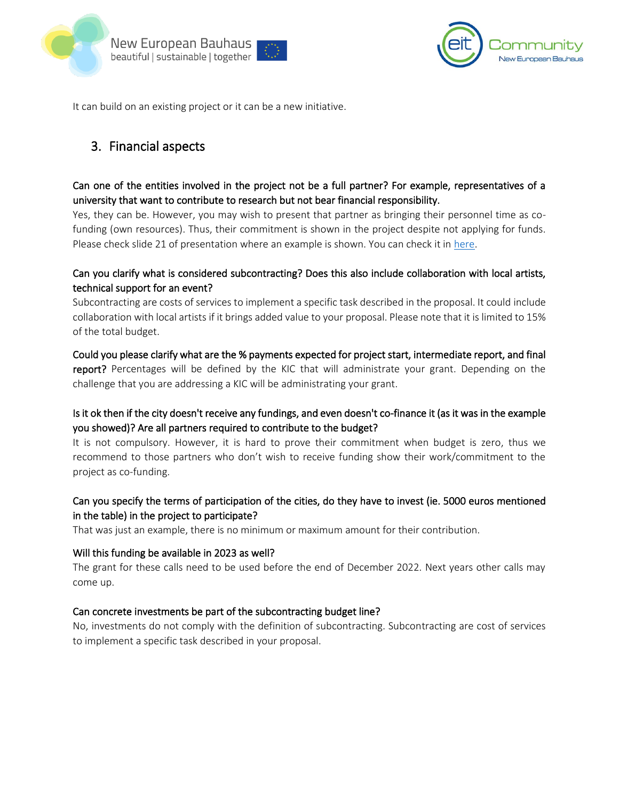



It can build on an existing project or it can be a new initiative.

# 3. Financial aspects

# Can one of the entities involved in the project not be a full partner? For example, representatives of a university that want to contribute to research but not bear financial responsibility.

Yes, they can be. However, you may wish to present that partner as bringing their personnel time as cofunding (own resources). Thus, their commitment is shown in the project despite not applying for funds. Please check slide 21 of presentation where an example is shown. You can check it in [here.](https://www.eiturbanmobility.eu/wp-content/uploads/2022/04/20220426_NEB_Co-Creation_Call_Info_Session-pitches-1.pdf)

# Can you clarify what is considered subcontracting? Does this also include collaboration with local artists, technical support for an event?

Subcontracting are costs of services to implement a specific task described in the proposal. It could include collaboration with local artists if it brings added value to your proposal. Please note that it is limited to 15% of the total budget.

Could you please clarify what are the % payments expected for project start, intermediate report, and final report? Percentages will be defined by the KIC that will administrate your grant. Depending on the challenge that you are addressing a KIC will be administrating your grant.

# Is it ok then if the city doesn't receive any fundings, and even doesn't co-finance it (as it was in the example you showed)? Are all partners required to contribute to the budget?

It is not compulsory. However, it is hard to prove their commitment when budget is zero, thus we recommend to those partners who don't wish to receive funding show their work/commitment to the project as co-funding.

# Can you specify the terms of participation of the cities, do they have to invest (ie. 5000 euros mentioned in the table) in the project to participate?

That was just an example, there is no minimum or maximum amount for their contribution.

#### Will this funding be available in 2023 as well?

The grant for these calls need to be used before the end of December 2022. Next years other calls may come up.

#### Can concrete investments be part of the subcontracting budget line?

No, investments do not comply with the definition of subcontracting. Subcontracting are cost of services to implement a specific task described in your proposal.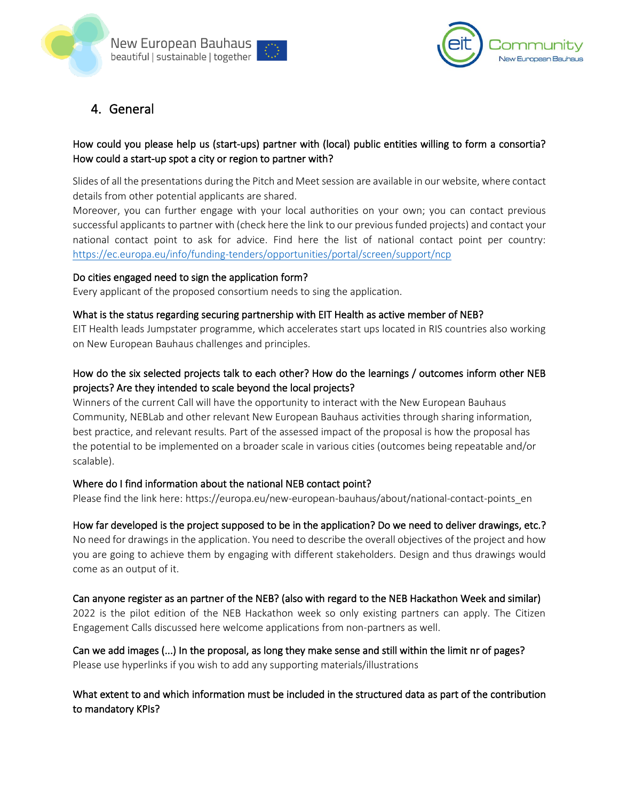



4. General

# How could you please help us (start-ups) partner with (local) public entities willing to form a consortia? How could a start-up spot a city or region to partner with?

Slides of all the presentations during the Pitch and Meet session are available in our website, where contact details from other potential applicants are shared.

Moreover, you can further engage with your local authorities on your own; you can contact previous successful applicants to partner with (check here the link to our previous funded projects) and contact your national contact point to ask for advice. Find here the list of national contact point per country: <https://ec.europa.eu/info/funding-tenders/opportunities/portal/screen/support/ncp>

#### Do cities engaged need to sign the application form?

Every applicant of the proposed consortium needs to sing the application.

#### What is the status regarding securing partnership with EIT Health as active member of NEB?

EIT Health leads Jumpstater programme, which accelerates start ups located in RIS countries also working on New European Bauhaus challenges and principles.

# How do the six selected projects talk to each other? How do the learnings / outcomes inform other NEB projects? Are they intended to scale beyond the local projects?

Winners of the current Call will have the opportunity to interact with the New European Bauhaus Community, NEBLab and other relevant New European Bauhaus activities through sharing information, best practice, and relevant results. Part of the assessed impact of the proposal is how the proposal has the potential to be implemented on a broader scale in various cities (outcomes being repeatable and/or scalable).

#### Where do I find information about the national NEB contact point?

Please find the link here: https://europa.eu/new-european-bauhaus/about/national-contact-points\_en

#### How far developed is the project supposed to be in the application? Do we need to deliver drawings, etc.?

No need for drawings in the application. You need to describe the overall objectives of the project and how you are going to achieve them by engaging with different stakeholders. Design and thus drawings would come as an output of it.

#### Can anyone register as an partner of the NEB? (also with regard to the NEB Hackathon Week and similar)

2022 is the pilot edition of the NEB Hackathon week so only existing partners can apply. The Citizen Engagement Calls discussed here welcome applications from non-partners as well.

# Can we add images (...) In the proposal, as long they make sense and still within the limit nr of pages? Please use hyperlinks if you wish to add any supporting materials/illustrations

# What extent to and which information must be included in the structured data as part of the contribution to mandatory KPIs?